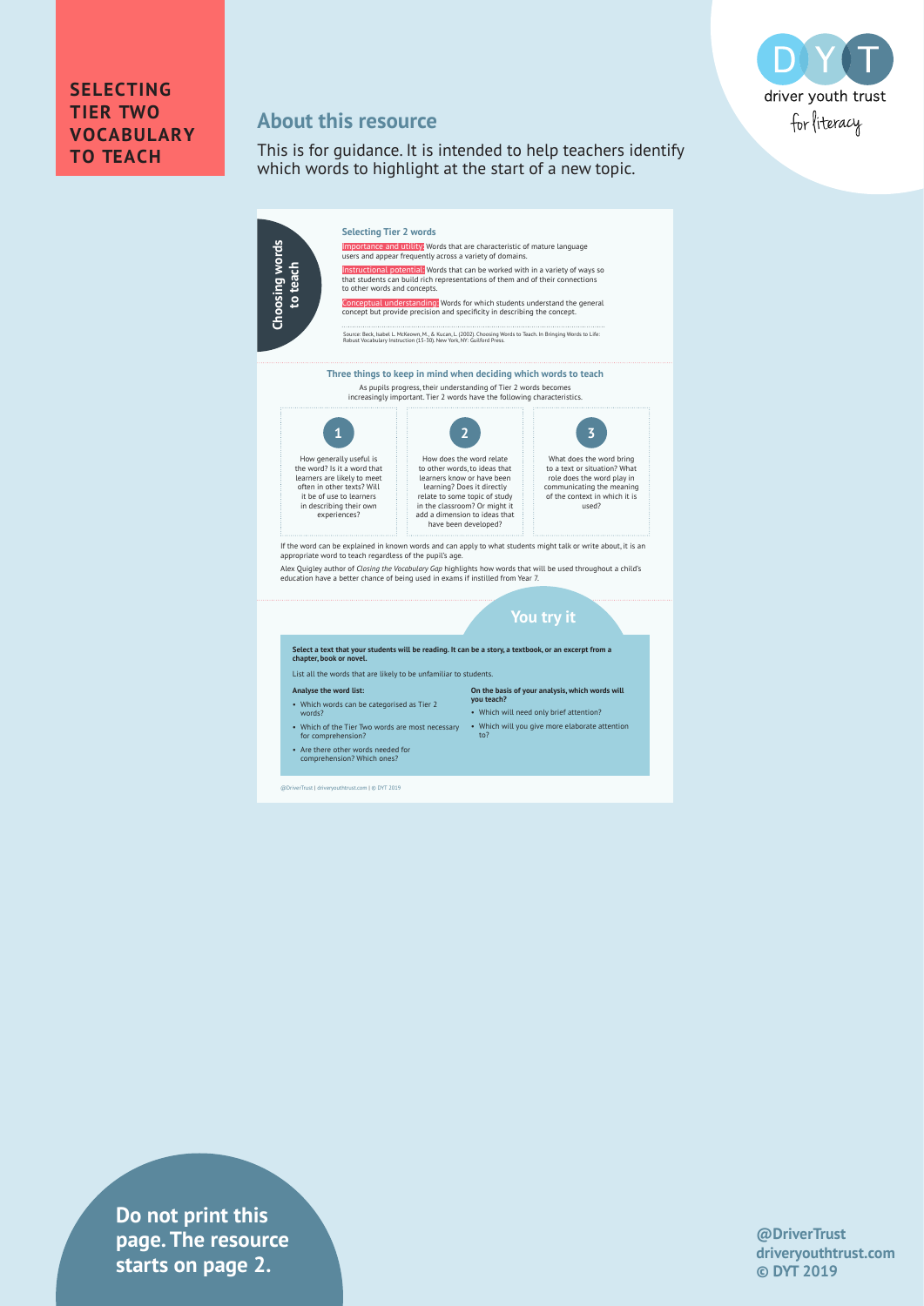

## **SELECTING TIER TWO VOCABULARY TO TEACH**

## **About this resource**

This is for guidance. It is intended to help teachers identify which words to highlight at the start of a new topic.



• Are there other words needed for comprehension? Which ones?

@DriverTrust | driveryouthtrust.com | © DYT 2019

**Do not print this page. The resource starts on page 2.**

#### **@DriverTrust driveryouthtrust.com © DYT 2019**